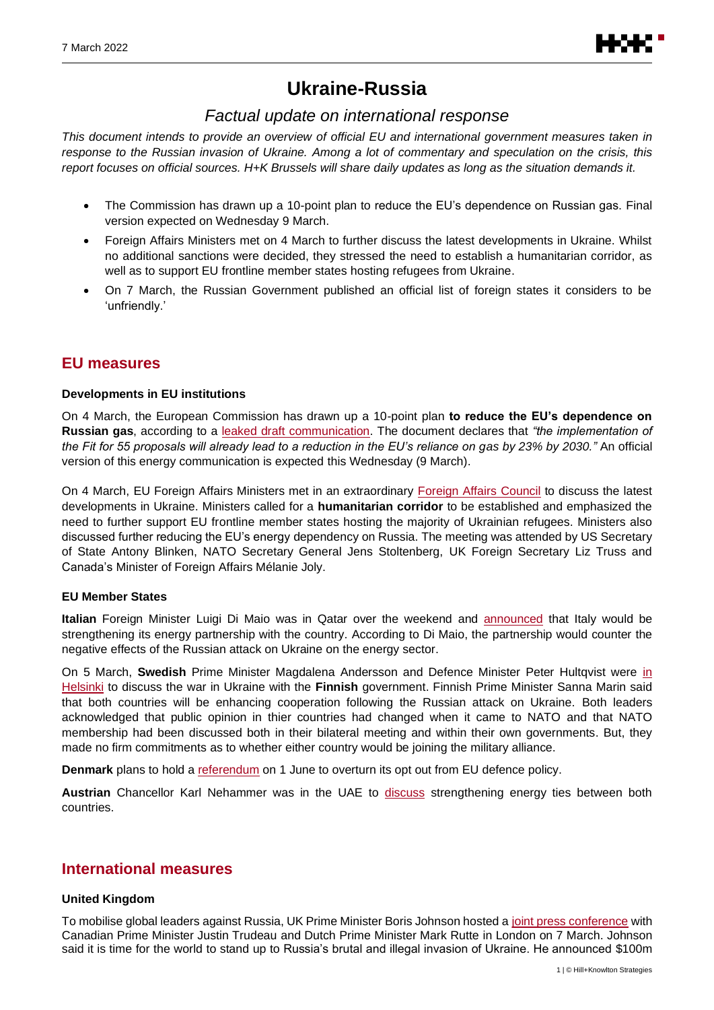

# **Ukraine-Russia**

### *Factual update on international response*

*This document intends to provide an overview of official EU and international government measures taken in response to the Russian invasion of Ukraine. Among a lot of commentary and speculation on the crisis, this report focuses on official sources. H+K Brussels will share daily updates as long as the situation demands it.*

- The Commission has drawn up a 10-point plan to reduce the EU's dependence on Russian gas. Final version expected on Wednesday 9 March.
- Foreign Affairs Ministers met on 4 March to further discuss the latest developments in Ukraine. Whilst no additional sanctions were decided, they stressed the need to establish a humanitarian corridor, as well as to support EU frontline member states hosting refugees from Ukraine.
- On 7 March, the Russian Government published an official list of foreign states it considers to be 'unfriendly.'

### **EU measures**

#### **Developments in EU institutions**

On 4 March, the European Commission has drawn up a 10-point plan **to reduce the EU's dependence on Russian gas**, according to a [leaked draft communication.](https://api.politico.eu/editorial_documents/f473d475-26c0-4166-8c8f-2a6b90acfb99) The document declares that *"the implementation of the Fit for 55 proposals will already lead to a reduction in the EU's reliance on gas by 23% by 2030."* An official version of this energy communication is expected this Wednesday (9 March).

On 4 March, EU [Foreign Affairs](https://www.consilium.europa.eu/en/meetings/fac/2022/03/04/) Ministers met in an extraordinary Foreign Affairs Council to discuss the latest developments in Ukraine. Ministers called for a **humanitarian corridor** to be established and emphasized the need to further support EU frontline member states hosting the majority of Ukrainian refugees. Ministers also discussed further reducing the EU's energy dependency on Russia. The meeting was attended by US Secretary of State Antony Blinken, NATO Secretary General Jens Stoltenberg, UK Foreign Secretary Liz Truss and Canada's Minister of Foreign Affairs Mélanie Joly.

#### **EU Member States**

**Italian** Foreign Minister Luigi Di Maio was in Qatar over the weekend and [announced](https://www.facebook.com/100044150993617/posts/518134219668273/?d=n) that Italy would be strengthening its energy partnership with the country. According to Di Maio, the partnership would counter the negative effects of the Russian attack on Ukraine on the energy sector.

On 5 March, **Swedish** Prime Minister Magdalena Andersson and Defence Minister Peter Hultqvist were [in](https://www.youtube.com/watch?v=D5GFHQGl21M)  [Helsinki](https://www.youtube.com/watch?v=D5GFHQGl21M) to discuss the war in Ukraine with the **Finnish** government. Finnish Prime Minister Sanna Marin said that both countries will be enhancing cooperation following the Russian attack on Ukraine. Both leaders acknowledged that public opinion in thier countries had changed when it came to NATO and that NATO membership had been discussed both in their bilateral meeting and within their own governments. But, they made no firm commitments as to whether either country would be joining the military alliance.

**Denmark** plans to hold a [referendum](https://www.regeringen.dk/nyheder/2022/nationalt-kompromis-om-dansk-sikkerhedspolitik/) on 1 June to overturn its opt out from EU defence policy.

Austrian Chancellor Karl Nehammer was in the UAE to [discuss](https://twitter.com/karlnehammer/status/1500441961693687811) strengthening energy ties between both countries.

### **International measures**

#### **United Kingdom**

To mobilise global leaders against Russia, UK Prime Minister Boris Johnson hosted [a joint press conference](https://www.youtube.com/watch?v=7UZ_DE88Nk8) with Canadian Prime Minister Justin Trudeau and Dutch Prime Minister Mark Rutte in London on 7 March. Johnson said it is time for the world to stand up to Russia's brutal and illegal invasion of Ukraine. He announced \$100m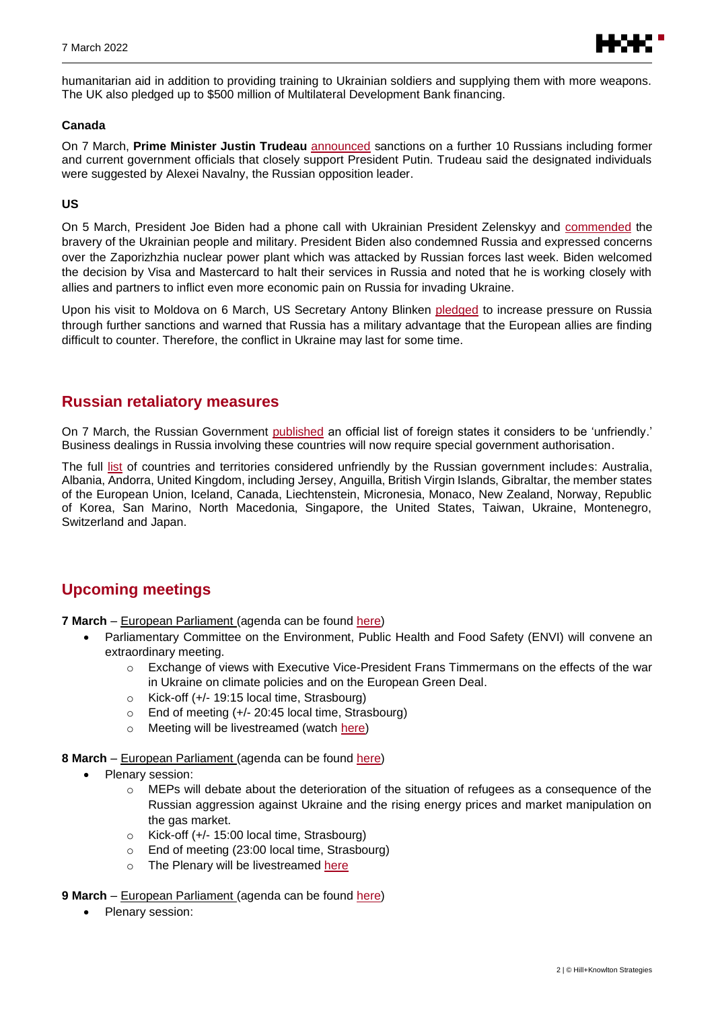

humanitarian aid in addition to providing training to Ukrainian soldiers and supplying them with more weapons. The UK also pledged up to \$500 million of Multilateral Development Bank financing.

#### **Canada**

On 7 March, **Prime Minister Justin Trudeau** [announced](https://www.youtube.com/watch?v=7UZ_DE88Nk8) sanctions on a further 10 Russians including former and current government officials that closely support President Putin. Trudeau said the designated individuals were suggested by Alexei Navalny, the Russian opposition leader.

#### **US**

On 5 March, President Joe Biden had a phone call with Ukrainian President Zelenskyy and [commende](https://www.whitehouse.gov/briefing-room/statements-releases/2022/03/05/readout-of-president-bidens-call-with-president-zelenskyy-of-ukraine-6/)d the bravery of the Ukrainian people and military. President Biden also condemned Russia and expressed concerns over the Zaporizhzhia nuclear power plant which was attacked by Russian forces last week. Biden welcomed the decision by Visa and Mastercard to halt their services in Russia and noted that he is working closely with allies and partners to inflict even more economic pain on Russia for invading Ukraine.

Upon his visit to Moldova on 6 March, US Secretary Antony Blinken [pledged](https://www.state.gov/secretary-antony-j-blinken-on-cnn-state-of-the-union-with-jake-tapper/) to increase pressure on Russia through further sanctions and warned that Russia has a military advantage that the European allies are finding difficult to counter. Therefore, the conflict in Ukraine may last for some time.

### **Russian retaliatory measures**

On 7 March, the Russian Government [published](http://government.ru/docs/44745/) an official list of foreign states it considers to be 'unfriendly.' Business dealings in Russia involving these countries will now require special government authorisation.

The full [list](http://static.government.ru/media/files/wj1HD7RqdPSxAmDlaisqG2zugWdz8Vc1.pdf) of countries and territories considered unfriendly by the Russian government includes: Australia, Albania, Andorra, United Kingdom, including Jersey, Anguilla, British Virgin Islands, Gibraltar, the member states of the European Union, Iceland, Canada, Liechtenstein, Micronesia, Monaco, New Zealand, Norway, Republic of Korea, San Marino, North Macedonia, Singapore, the United States, Taiwan, Ukraine, Montenegro, Switzerland and Japan.

## **Upcoming meetings**

**7 March** – European Parliament (agenda can be found [here\)](https://www.europarl.europa.eu/news/en/agenda/weekly-agenda)

- Parliamentary Committee on the Environment, Public Health and Food Safety (ENVI) will convene an extraordinary meeting.
	- $\circ$  Exchange of views with Executive Vice-President Frans Timmermans on the effects of the war in Ukraine on climate policies and on the European Green Deal.
	- o Kick-off (+/- 19:15 local time, Strasbourg)
	- o End of meeting (+/- 20:45 local time, Strasbourg)
	- o Meeting will be livestreamed (watch [here\)](https://multimedia.europarl.europa.eu/en/webstreaming?d=20220307&lv=COMMITTEES)
- **8 March** European Parliament (agenda can be found [here\)](https://www.europarl.europa.eu/news/en/agenda/weekly-agenda/2022-10#agenda-day20220308)
	- Plenary session:
		- o MEPs will debate about the deterioration of the situation of refugees as a consequence of the Russian aggression against Ukraine and the rising energy prices and market manipulation on the gas market.
		- o Kick-off (+/- 15:00 local time, Strasbourg)
		- o End of meeting (23:00 local time, Strasbourg)
		- o The Plenary will be livestreamed [here](https://www.europarl.europa.eu/plenary/en/home.html)
- **9 March** European Parliament (agenda can be found [here\)](https://www.europarl.europa.eu/doceo/document/OJQ-9-2022-03-09_EN.html)
	- Plenary session: